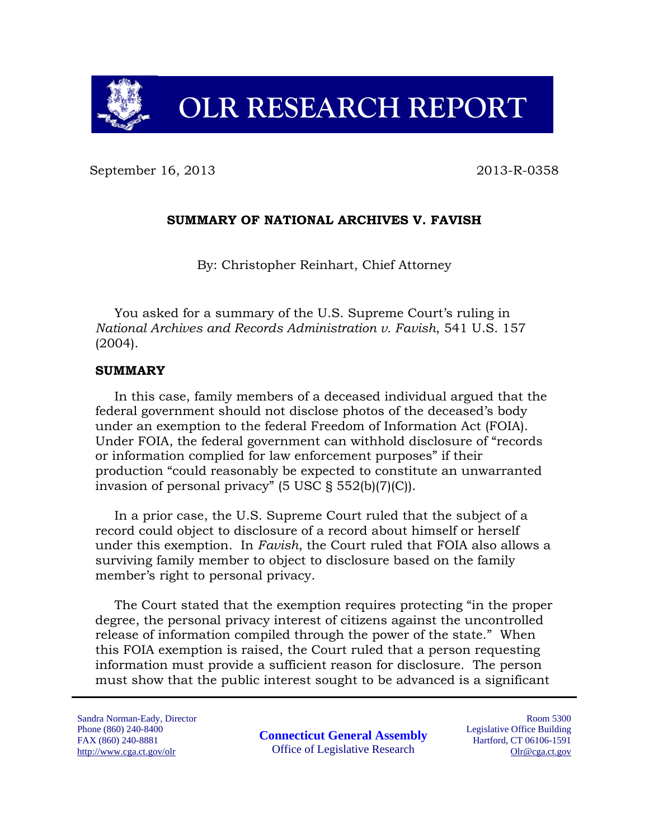

September 16, 2013 2013 2013

# **SUMMARY OF NATIONAL ARCHIVES V. FAVISH**

By: Christopher Reinhart, Chief Attorney

You asked for a summary of the U.S. Supreme Court's ruling in *National Archives and Records Administration v. Favish*, 541 U.S. 157 (2004).

### **SUMMARY**

In this case, family members of a deceased individual argued that the federal government should not disclose photos of the deceased's body under an exemption to the federal Freedom of Information Act (FOIA). Under FOIA, the federal government can withhold disclosure of "records or information complied for law enforcement purposes" if their production "could reasonably be expected to constitute an unwarranted invasion of personal privacy" (5 USC § 552(b)(7)(C)).

In a prior case, the U.S. Supreme Court ruled that the subject of a record could object to disclosure of a record about himself or herself under this exemption. In *Favish*, the Court ruled that FOIA also allows a surviving family member to object to disclosure based on the family member's right to personal privacy.

The Court stated that the exemption requires protecting "in the proper degree, the personal privacy interest of citizens against the uncontrolled release of information compiled through the power of the state." When this FOIA exemption is raised, the Court ruled that a person requesting information must provide a sufficient reason for disclosure. The person must show that the public interest sought to be advanced is a significant

Sandra Norman-Eady, Director Phone (860) 240-8400 FAX (860) 240-8881 http://www.cga.ct.gov/olr

**Connecticut General Assembly** Office of Legislative Research

Room 5300 Legislative Office Building Hartford, CT 06106-1591 Olr@cga.ct.gov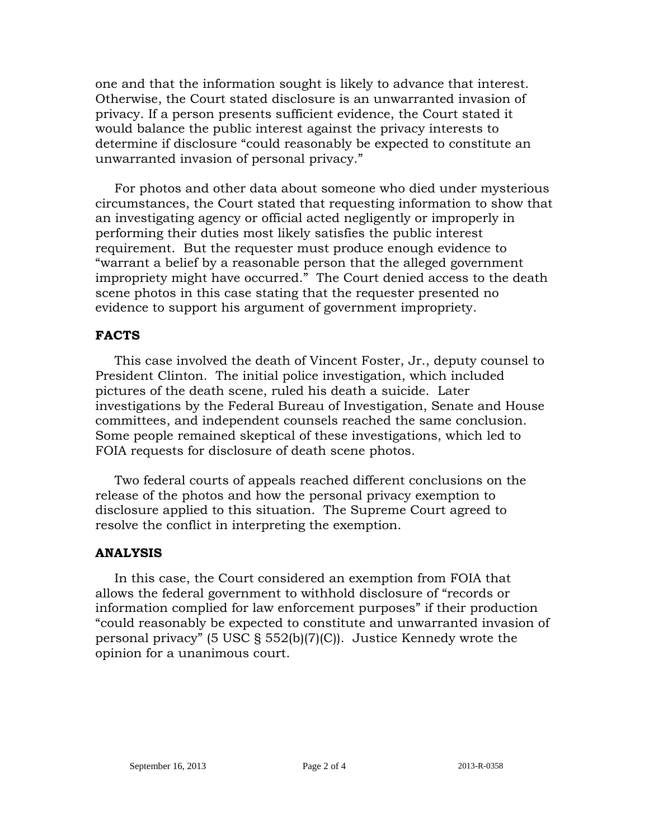one and that the information sought is likely to advance that interest. Otherwise, the Court stated disclosure is an unwarranted invasion of privacy. If a person presents sufficient evidence, the Court stated it would balance the public interest against the privacy interests to determine if disclosure "could reasonably be expected to constitute an unwarranted invasion of personal privacy."

For photos and other data about someone who died under mysterious circumstances, the Court stated that requesting information to show that an investigating agency or official acted negligently or improperly in performing their duties most likely satisfies the public interest requirement. But the requester must produce enough evidence to "warrant a belief by a reasonable person that the alleged government impropriety might have occurred." The Court denied access to the death scene photos in this case stating that the requester presented no evidence to support his argument of government impropriety.

# **FACTS**

This case involved the death of Vincent Foster, Jr., deputy counsel to President Clinton. The initial police investigation, which included pictures of the death scene, ruled his death a suicide. Later investigations by the Federal Bureau of Investigation, Senate and House committees, and independent counsels reached the same conclusion. Some people remained skeptical of these investigations, which led to FOIA requests for disclosure of death scene photos.

Two federal courts of appeals reached different conclusions on the release of the photos and how the personal privacy exemption to disclosure applied to this situation. The Supreme Court agreed to resolve the conflict in interpreting the exemption.

# **ANALYSIS**

In this case, the Court considered an exemption from FOIA that allows the federal government to withhold disclosure of "records or information complied for law enforcement purposes" if their production "could reasonably be expected to constitute and unwarranted invasion of personal privacy" (5 USC § 552(b)(7)(C)). Justice Kennedy wrote the opinion for a unanimous court.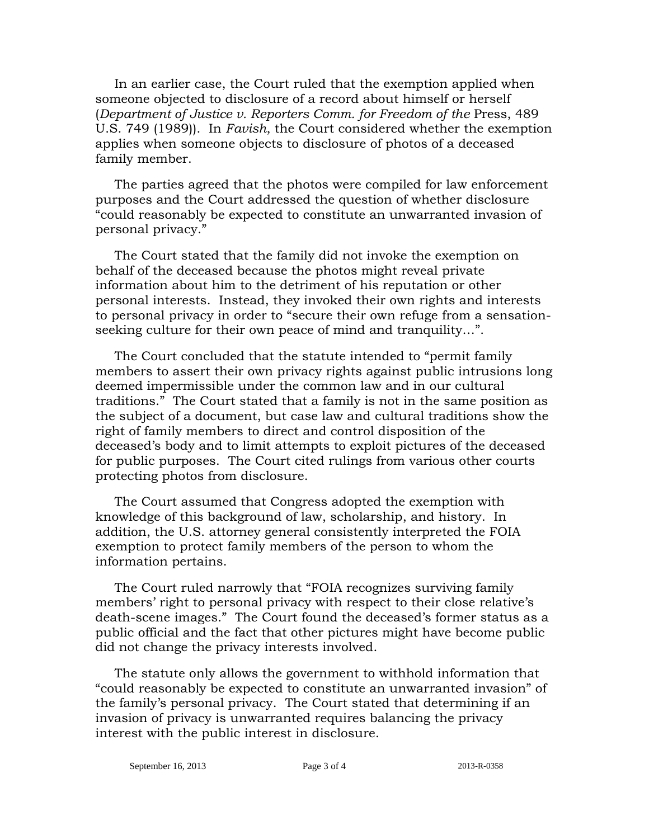In an earlier case, the Court ruled that the exemption applied when someone objected to disclosure of a record about himself or herself (*Department of Justice v. Reporters Comm. for Freedom of the* Press, 489 U.S. 749 (1989)). In *Favish*, the Court considered whether the exemption applies when someone objects to disclosure of photos of a deceased family member.

The parties agreed that the photos were compiled for law enforcement purposes and the Court addressed the question of whether disclosure "could reasonably be expected to constitute an unwarranted invasion of personal privacy."

The Court stated that the family did not invoke the exemption on behalf of the deceased because the photos might reveal private information about him to the detriment of his reputation or other personal interests. Instead, they invoked their own rights and interests to personal privacy in order to "secure their own refuge from a sensationseeking culture for their own peace of mind and tranquility…".

The Court concluded that the statute intended to "permit family members to assert their own privacy rights against public intrusions long deemed impermissible under the common law and in our cultural traditions." The Court stated that a family is not in the same position as the subject of a document, but case law and cultural traditions show the right of family members to direct and control disposition of the deceased's body and to limit attempts to exploit pictures of the deceased for public purposes. The Court cited rulings from various other courts protecting photos from disclosure.

The Court assumed that Congress adopted the exemption with knowledge of this background of law, scholarship, and history. In addition, the U.S. attorney general consistently interpreted the FOIA exemption to protect family members of the person to whom the information pertains.

The Court ruled narrowly that "FOIA recognizes surviving family members' right to personal privacy with respect to their close relative's death-scene images." The Court found the deceased's former status as a public official and the fact that other pictures might have become public did not change the privacy interests involved.

The statute only allows the government to withhold information that "could reasonably be expected to constitute an unwarranted invasion" of the family's personal privacy. The Court stated that determining if an invasion of privacy is unwarranted requires balancing the privacy interest with the public interest in disclosure.